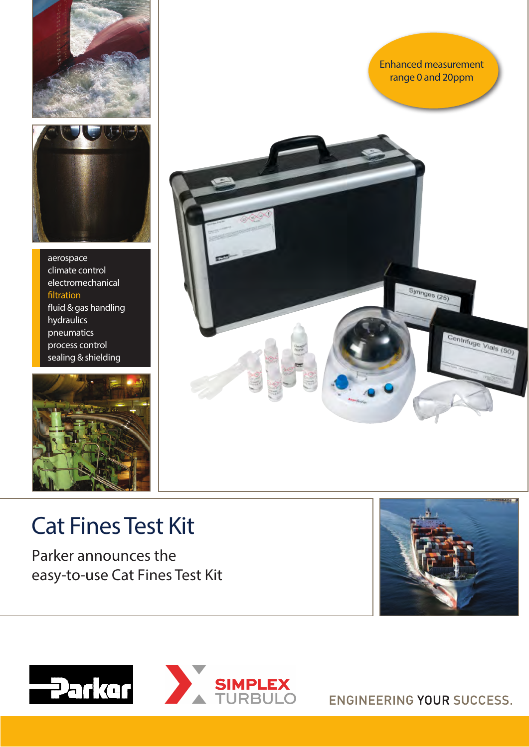

aerospace climate control electromechanical filtration fluid & gas handling hydraulics pneumatics process control sealing & shielding





# Cat Fines Test Kit

Parker announces the easy-to-use Cat Fines Test Kit



Enhanced measurement range 0 and 20ppm

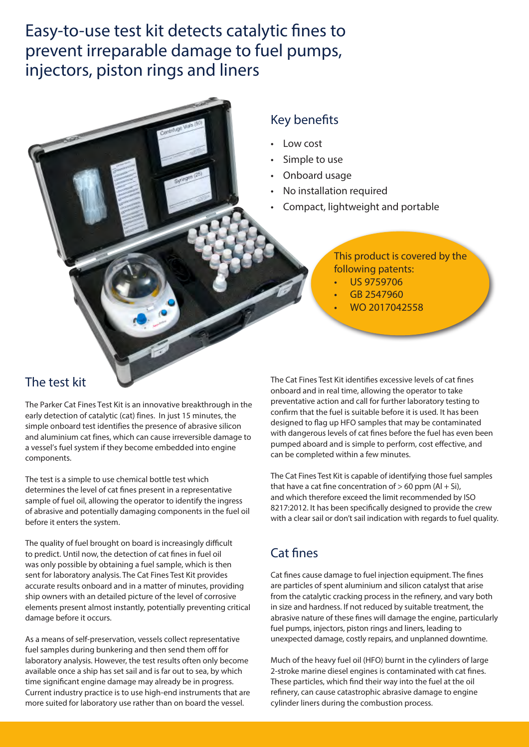# Easy-to-use test kit detects catalytic fines to prevent irreparable damage to fuel pumps, injectors, piston rings and liners

### Key benefits

- Low cost
- Simple to use
- Onboard usage
- No installation required
- Compact, lightweight and portable

### This product is covered by the following patents:

- US 9759706
- GB 2547960
- WO 2017042558

### The test kit

The Parker Cat Fines Test Kit is an innovative breakthrough in the early detection of catalytic (cat) fines. In just 15 minutes, the simple onboard test identifies the presence of abrasive silicon and aluminium cat fines, which can cause irreversible damage to a vessel's fuel system if they become embedded into engine components.

The test is a simple to use chemical bottle test which determines the level of cat fines present in a representative sample of fuel oil, allowing the operator to identify the ingress of abrasive and potentially damaging components in the fuel oil before it enters the system.

The quality of fuel brought on board is increasingly difficult to predict. Until now, the detection of cat fines in fuel oil was only possible by obtaining a fuel sample, which is then sent for laboratory analysis. The Cat Fines Test Kit provides accurate results onboard and in a matter of minutes, providing ship owners with an detailed picture of the level of corrosive elements present almost instantly, potentially preventing critical damage before it occurs.

As a means of self-preservation, vessels collect representative fuel samples during bunkering and then send them off for laboratory analysis. However, the test results often only become available once a ship has set sail and is far out to sea, by which time significant engine damage may already be in progress. Current industry practice is to use high-end instruments that are more suited for laboratory use rather than on board the vessel.

The Cat Fines Test Kit identifies excessive levels of cat fines onboard and in real time, allowing the operator to take preventative action and call for further laboratory testing to confirm that the fuel is suitable before it is used. It has been designed to flag up HFO samples that may be contaminated with dangerous levels of cat fines before the fuel has even been pumped aboard and is simple to perform, cost effective, and can be completed within a few minutes.

The Cat Fines Test Kit is capable of identifying those fuel samples that have a cat fine concentration of  $> 60$  ppm (Al + Si), and which therefore exceed the limit recommended by ISO 8217:2012. It has been specifically designed to provide the crew with a clear sail or don't sail indication with regards to fuel quality.

# Cat fines

Cat fines cause damage to fuel injection equipment. The fines are particles of spent aluminium and silicon catalyst that arise from the catalytic cracking process in the refinery, and vary both in size and hardness. If not reduced by suitable treatment, the abrasive nature of these fines will damage the engine, particularly fuel pumps, injectors, piston rings and liners, leading to unexpected damage, costly repairs, and unplanned downtime.

Much of the heavy fuel oil (HFO) burnt in the cylinders of large 2-stroke marine diesel engines is contaminated with cat fines. These particles, which find their way into the fuel at the oil refinery, can cause catastrophic abrasive damage to engine cylinder liners during the combustion process.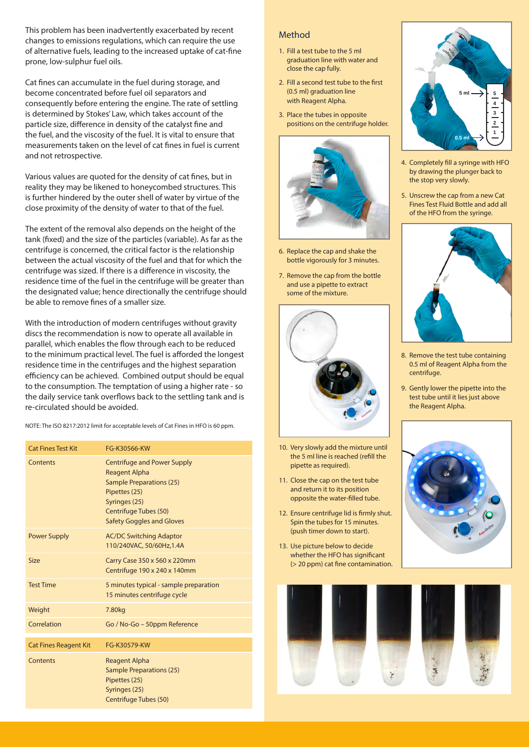This problem has been inadvertently exacerbated by recent changes to emissions regulations, which can require the use of alternative fuels, leading to the increased uptake of cat-fine prone, low-sulphur fuel oils.

Cat fines can accumulate in the fuel during storage, and become concentrated before fuel oil separators and consequently before entering the engine. The rate of settling is determined by Stokes' Law, which takes account of the particle size, difference in density of the catalyst fine and the fuel, and the viscosity of the fuel. It is vital to ensure that measurements taken on the level of cat fines in fuel is current and not retrospective.

Various values are quoted for the density of cat fines, but in reality they may be likened to honeycombed structures. This is further hindered by the outer shell of water by virtue of the close proximity of the density of water to that of the fuel.

The extent of the removal also depends on the height of the tank (fixed) and the size of the particles (variable). As far as the centrifuge is concerned, the critical factor is the relationship between the actual viscosity of the fuel and that for which the centrifuge was sized. If there is a difference in viscosity, the residence time of the fuel in the centrifuge will be greater than the designated value; hence directionally the centrifuge should be able to remove fines of a smaller size.

With the introduction of modern centrifuges without gravity discs the recommendation is now to operate all available in parallel, which enables the flow through each to be reduced to the minimum practical level. The fuel is afforded the longest residence time in the centrifuges and the highest separation efficiency can be achieved. Combined output should be equal to the consumption. The temptation of using a higher rate - so the daily service tank overflows back to the settling tank and is re-circulated should be avoided.

NOTE: The ISO 8217:2012 limit for acceptable levels of Cat Fines in HFO is 60 ppm.

| <b>Cat Fines Test Kit</b>    | FG-K30566-KW                                                                                                                                                                                        |
|------------------------------|-----------------------------------------------------------------------------------------------------------------------------------------------------------------------------------------------------|
| Contents                     | <b>Centrifuge and Power Supply</b><br><b>Reagent Alpha</b><br><b>Sample Preparations (25)</b><br>Pipettes (25)<br>Syringes (25)<br><b>Centrifuge Tubes (50)</b><br><b>Safety Goggles and Gloves</b> |
| <b>Power Supply</b>          | <b>AC/DC Switching Adaptor</b><br>110/240VAC, 50/60Hz, 1.4A                                                                                                                                         |
| <b>Size</b>                  | Carry Case 350 x 560 x 220mm<br>Centrifuge 190 x 240 x 140mm                                                                                                                                        |
| <b>Test Time</b>             | 5 minutes typical - sample preparation<br>15 minutes centrifuge cycle                                                                                                                               |
| Weight                       | 7.80kg                                                                                                                                                                                              |
| Correlation                  | Go / No-Go - 50ppm Reference                                                                                                                                                                        |
| <b>Cat Fines Reagent Kit</b> | FG-K30579-KW                                                                                                                                                                                        |
| Contents                     | <b>Reagent Alpha</b><br><b>Sample Preparations (25)</b><br>Pipettes (25)<br>Syringes (25)<br><b>Centrifuge Tubes (50)</b>                                                                           |

#### Method

- 1. Fill a test tube to the 5 ml graduation line with water and close the cap fully.
- 2. Fill a second test tube to the first (0.5 ml) graduation line with Reagent Alpha.
- 3. Place the tubes in opposite positions on the centrifuge holder.



- 6. Replace the cap and shake the bottle vigorously for 3 minutes.
- 7. Remove the cap from the bottle and use a pipette to extract some of the mixture.



- 10. Very slowly add the mixture until the 5 ml line is reached (refill the pipette as required).
- 11. Close the cap on the test tube and return it to its position opposite the water-filled tube.
- 12. Ensure centrifuge lid is firmly shut. Spin the tubes for 15 minutes. (push timer down to start).
- 13. Use picture below to decide whether the HFO has significant (> 20 ppm) cat fine contamination.



- 4. Completely fill a syringe with HFO by drawing the plunger back to the stop very slowly.
- 5. Unscrew the cap from a new Cat Fines Test Fluid Bottle and add all of the HFO from the syringe.



- 8. Remove the test tube containing 0.5 ml of Reagent Alpha from the centrifuge.
- 9. Gently lower the pipette into the test tube until it lies just above the Reagent Alpha.